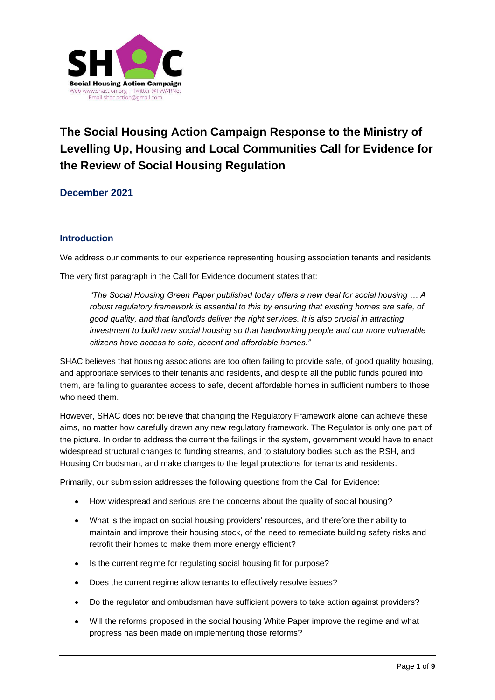

# **The Social Housing Action Campaign Response to the Ministry of Levelling Up, Housing and Local Communities Call for Evidence for the Review of Social Housing Regulation**

#### **December 2021**

#### **Introduction**

We address our comments to our experience representing housing association tenants and residents.

The very first paragraph in the Call for Evidence document states that:

*"The Social Housing Green Paper published today offers a new deal for social housing … A robust regulatory framework is essential to this by ensuring that existing homes are safe, of good quality, and that landlords deliver the right services. It is also crucial in attracting investment to build new social housing so that hardworking people and our more vulnerable citizens have access to safe, decent and affordable homes."*

SHAC believes that housing associations are too often failing to provide safe, of good quality housing, and appropriate services to their tenants and residents, and despite all the public funds poured into them, are failing to guarantee access to safe, decent affordable homes in sufficient numbers to those who need them.

However, SHAC does not believe that changing the Regulatory Framework alone can achieve these aims, no matter how carefully drawn any new regulatory framework. The Regulator is only one part of the picture. In order to address the current the failings in the system, government would have to enact widespread structural changes to funding streams, and to statutory bodies such as the RSH, and Housing Ombudsman, and make changes to the legal protections for tenants and residents.

Primarily, our submission addresses the following questions from the Call for Evidence:

- How widespread and serious are the concerns about the quality of social housing?
- What is the impact on social housing providers' resources, and therefore their ability to maintain and improve their housing stock, of the need to remediate building safety risks and retrofit their homes to make them more energy efficient?
- Is the current regime for regulating social housing fit for purpose?
- Does the current regime allow tenants to effectively resolve issues?
- Do the regulator and ombudsman have sufficient powers to take action against providers?
- Will the reforms proposed in the social housing White Paper improve the regime and what progress has been made on implementing those reforms?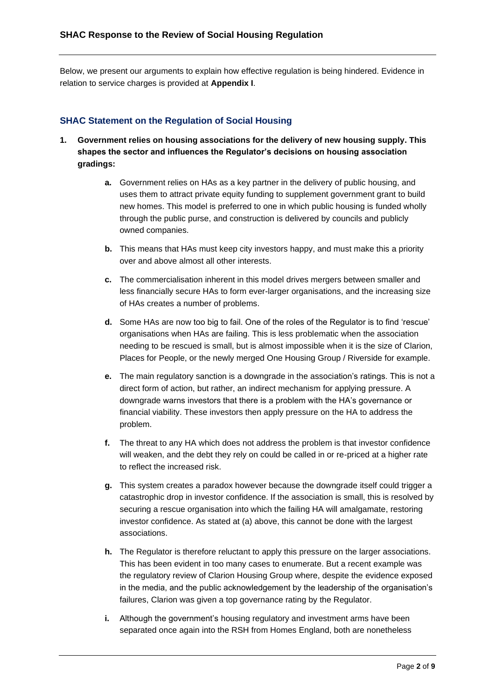Below, we present our arguments to explain how effective regulation is being hindered. Evidence in relation to service charges is provided at **Appendix I**.

#### **SHAC Statement on the Regulation of Social Housing**

- **1. Government relies on housing associations for the delivery of new housing supply. This shapes the sector and influences the Regulator's decisions on housing association gradings:**
	- **a.** Government relies on HAs as a key partner in the delivery of public housing, and uses them to attract private equity funding to supplement government grant to build new homes. This model is preferred to one in which public housing is funded wholly through the public purse, and construction is delivered by councils and publicly owned companies.
	- **b.** This means that HAs must keep city investors happy, and must make this a priority over and above almost all other interests.
	- **c.** The commercialisation inherent in this model drives mergers between smaller and less financially secure HAs to form ever-larger organisations, and the increasing size of HAs creates a number of problems.
	- **d.** Some HAs are now too big to fail. One of the roles of the Regulator is to find 'rescue' organisations when HAs are failing. This is less problematic when the association needing to be rescued is small, but is almost impossible when it is the size of Clarion, Places for People, or the newly merged One Housing Group / Riverside for example.
	- **e.** The main regulatory sanction is a downgrade in the association's ratings. This is not a direct form of action, but rather, an indirect mechanism for applying pressure. A downgrade warns investors that there is a problem with the HA's governance or financial viability. These investors then apply pressure on the HA to address the problem.
	- **f.** The threat to any HA which does not address the problem is that investor confidence will weaken, and the debt they rely on could be called in or re-priced at a higher rate to reflect the increased risk.
	- **g.** This system creates a paradox however because the downgrade itself could trigger a catastrophic drop in investor confidence. If the association is small, this is resolved by securing a rescue organisation into which the failing HA will amalgamate, restoring investor confidence. As stated at (a) above, this cannot be done with the largest associations.
	- **h.** The Regulator is therefore reluctant to apply this pressure on the larger associations. This has been evident in too many cases to enumerate. But a recent example was the regulatory review of Clarion Housing Group where, despite the evidence exposed in the media, and the public acknowledgement by the leadership of the organisation's failures, Clarion was given a top governance rating by the Regulator.
	- **i.** Although the government's housing regulatory and investment arms have been separated once again into the RSH from Homes England, both are nonetheless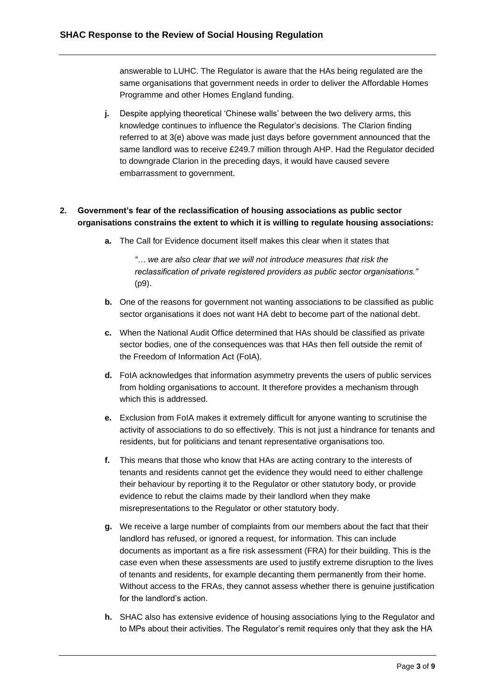answerable to LUHC. The Regulator is aware that the HAs being regulated are the same organisations that government needs in order to deliver the Affordable Homes Programme and other Homes England funding.

**j.** Despite applying theoretical 'Chinese walls' between the two delivery arms, this knowledge continues to influence the Regulator's decisions. The Clarion finding referred to at 3(e) above was made just days before government announced that the same landlord was to receive £249.7 million through AHP. Had the Regulator decided to downgrade Clarion in the preceding days, it would have caused severe embarrassment to government.

#### **2. Government's fear of the reclassification of housing associations as public sector organisations constrains the extent to which it is willing to regulate housing associations:**

**a.** The Call for Evidence document itself makes this clear when it states that

*"… we are also clear that we will not introduce measures that risk the reclassification of private registered providers as public sector organisations."* (p9).

- **b.** One of the reasons for government not wanting associations to be classified as public sector organisations it does not want HA debt to become part of the national debt.
- **c.** When the National Audit Office determined that HAs should be classified as private sector bodies, one of the consequences was that HAs then fell outside the remit of the Freedom of Information Act (FoIA).
- **d.** FoIA acknowledges that information asymmetry prevents the users of public services from holding organisations to account. It therefore provides a mechanism through which this is addressed.
- **e.** Exclusion from FoIA makes it extremely difficult for anyone wanting to scrutinise the activity of associations to do so effectively. This is not just a hindrance for tenants and residents, but for politicians and tenant representative organisations too.
- **f.** This means that those who know that HAs are acting contrary to the interests of tenants and residents cannot get the evidence they would need to either challenge their behaviour by reporting it to the Regulator or other statutory body, or provide evidence to rebut the claims made by their landlord when they make misrepresentations to the Regulator or other statutory body.
- **g.** We receive a large number of complaints from our members about the fact that their landlord has refused, or ignored a request, for information. This can include documents as important as a fire risk assessment (FRA) for their building. This is the case even when these assessments are used to justify extreme disruption to the lives of tenants and residents, for example decanting them permanently from their home. Without access to the FRAs, they cannot assess whether there is genuine justification for the landlord's action.
- **h.** SHAC also has extensive evidence of housing associations lying to the Regulator and to MPs about their activities. The Regulator's remit requires only that they ask the HA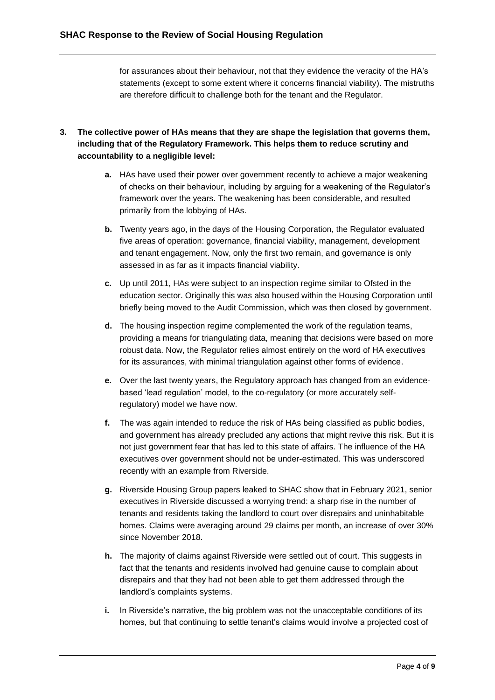for assurances about their behaviour, not that they evidence the veracity of the HA's statements (except to some extent where it concerns financial viability). The mistruths are therefore difficult to challenge both for the tenant and the Regulator.

- **3. The collective power of HAs means that they are shape the legislation that governs them, including that of the Regulatory Framework. This helps them to reduce scrutiny and accountability to a negligible level:**
	- **a.** HAs have used their power over government recently to achieve a major weakening of checks on their behaviour, including by arguing for a weakening of the Regulator's framework over the years. The weakening has been considerable, and resulted primarily from the lobbying of HAs.
	- **b.** Twenty years ago, in the days of the Housing Corporation, the Regulator evaluated five areas of operation: governance, financial viability, management, development and tenant engagement. Now, only the first two remain, and governance is only assessed in as far as it impacts financial viability.
	- **c.** Up until 2011, HAs were subject to an inspection regime similar to Ofsted in the education sector. Originally this was also housed within the Housing Corporation until briefly being moved to the Audit Commission, which was then closed by government.
	- **d.** The housing inspection regime complemented the work of the regulation teams, providing a means for triangulating data, meaning that decisions were based on more robust data. Now, the Regulator relies almost entirely on the word of HA executives for its assurances, with minimal triangulation against other forms of evidence.
	- **e.** Over the last twenty years, the Regulatory approach has changed from an evidencebased 'lead regulation' model, to the co-regulatory (or more accurately selfregulatory) model we have now.
	- **f.** The was again intended to reduce the risk of HAs being classified as public bodies, and government has already precluded any actions that might revive this risk. But it is not just government fear that has led to this state of affairs. The influence of the HA executives over government should not be under-estimated. This was underscored recently with an example from Riverside.
	- **g.** Riverside Housing Group papers leaked to SHAC show that in February 2021, senior executives in Riverside discussed a worrying trend: a sharp rise in the number of tenants and residents taking the landlord to court over disrepairs and uninhabitable homes. Claims were averaging around 29 claims per month, an increase of over 30% since November 2018.
	- **h.** The majority of claims against Riverside were settled out of court. This suggests in fact that the tenants and residents involved had genuine cause to complain about disrepairs and that they had not been able to get them addressed through the landlord's complaints systems.
	- **i.** In Riverside's narrative, the big problem was not the unacceptable conditions of its homes, but that continuing to settle tenant's claims would involve a projected cost of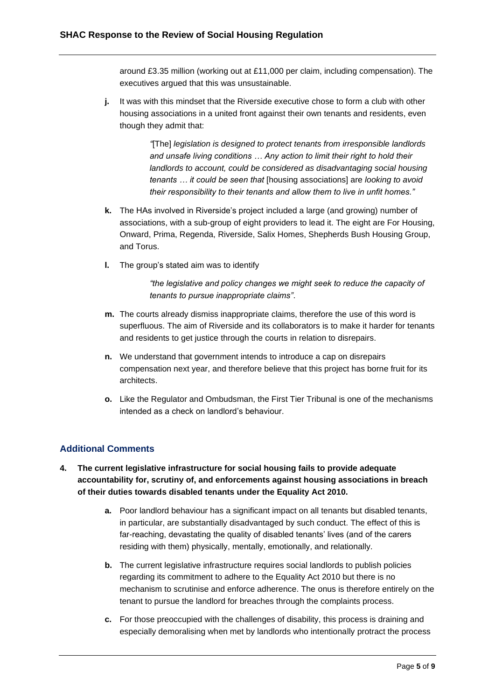around £3.35 million (working out at £11,000 per claim, including compensation). The executives argued that this was unsustainable.

**j.** It was with this mindset that the Riverside executive chose to form a club with other housing associations in a united front against their own tenants and residents, even though they admit that:

> *"*[The] *legislation is designed to protect tenants from irresponsible landlords and unsafe living conditions … Any action to limit their right to hold their*  landlords to account, could be considered as disadvantaging social housing *tenants … it could be seen that* [housing associations] are *looking to avoid their responsibility to their tenants and allow them to live in unfit homes."*

- **k.** The HAs involved in Riverside's project included a large (and growing) number of associations, with a sub-group of eight providers to lead it. The eight are For Housing, Onward, Prima, Regenda, Riverside, Salix Homes, Shepherds Bush Housing Group, and Torus.
- **l.** The group's stated aim was to identify

*"the legislative and policy changes we might seek to reduce the capacity of tenants to pursue inappropriate claims"*.

- **m.** The courts already dismiss inappropriate claims, therefore the use of this word is superfluous. The aim of Riverside and its collaborators is to make it harder for tenants and residents to get justice through the courts in relation to disrepairs.
- **n.** We understand that government intends to introduce a cap on disrepairs compensation next year, and therefore believe that this project has borne fruit for its architects.
- **o.** Like the Regulator and Ombudsman, the First Tier Tribunal is one of the mechanisms intended as a check on landlord's behaviour.

#### **Additional Comments**

- **4. The current legislative infrastructure for social housing fails to provide adequate accountability for, scrutiny of, and enforcements against housing associations in breach of their duties towards disabled tenants under the Equality Act 2010.**
	- **a.** Poor landlord behaviour has a significant impact on all tenants but disabled tenants, in particular, are substantially disadvantaged by such conduct. The effect of this is far-reaching, devastating the quality of disabled tenants' lives (and of the carers residing with them) physically, mentally, emotionally, and relationally.
	- **b.** The current legislative infrastructure requires social landlords to publish policies regarding its commitment to adhere to the Equality Act 2010 but there is no mechanism to scrutinise and enforce adherence. The onus is therefore entirely on the tenant to pursue the landlord for breaches through the complaints process.
	- **c.** For those preoccupied with the challenges of disability, this process is draining and especially demoralising when met by landlords who intentionally protract the process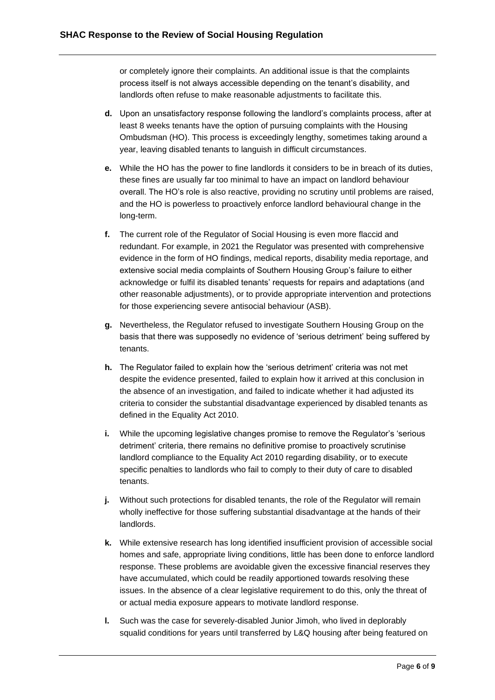or completely ignore their complaints. An additional issue is that the complaints process itself is not always accessible depending on the tenant's disability, and landlords often refuse to make reasonable adjustments to facilitate this.

- **d.** Upon an unsatisfactory response following the landlord's complaints process, after at least 8 weeks tenants have the option of pursuing complaints with the Housing Ombudsman (HO). This process is exceedingly lengthy, sometimes taking around a year, leaving disabled tenants to languish in difficult circumstances.
- **e.** While the HO has the power to fine landlords it considers to be in breach of its duties, these fines are usually far too minimal to have an impact on landlord behaviour overall. The HO's role is also reactive, providing no scrutiny until problems are raised, and the HO is powerless to proactively enforce landlord behavioural change in the long-term.
- **f.** The current role of the Regulator of Social Housing is even more flaccid and redundant. For example, in 2021 the Regulator was presented with comprehensive evidence in the form of HO findings, medical reports, disability media reportage, and extensive social media complaints of Southern Housing Group's failure to either acknowledge or fulfil its disabled tenants' requests for repairs and adaptations (and other reasonable adjustments), or to provide appropriate intervention and protections for those experiencing severe antisocial behaviour (ASB).
- **g.** Nevertheless, the Regulator refused to investigate Southern Housing Group on the basis that there was supposedly no evidence of 'serious detriment' being suffered by tenants.
- **h.** The Regulator failed to explain how the 'serious detriment' criteria was not met despite the evidence presented, failed to explain how it arrived at this conclusion in the absence of an investigation, and failed to indicate whether it had adjusted its criteria to consider the substantial disadvantage experienced by disabled tenants as defined in the Equality Act 2010.
- **i.** While the upcoming legislative changes promise to remove the Regulator's 'serious detriment' criteria, there remains no definitive promise to proactively scrutinise landlord compliance to the Equality Act 2010 regarding disability, or to execute specific penalties to landlords who fail to comply to their duty of care to disabled tenants.
- **j.** Without such protections for disabled tenants, the role of the Regulator will remain wholly ineffective for those suffering substantial disadvantage at the hands of their landlords.
- **k.** While extensive research has long identified insufficient provision of accessible social homes and safe, appropriate living conditions, little has been done to enforce landlord response. These problems are avoidable given the excessive financial reserves they have accumulated, which could be readily apportioned towards resolving these issues. In the absence of a clear legislative requirement to do this, only the threat of or actual media exposure appears to motivate landlord response.
- **l.** Such was the case for severely-disabled Junior Jimoh, who lived in deplorably squalid conditions for years until transferred by L&Q housing after being featured on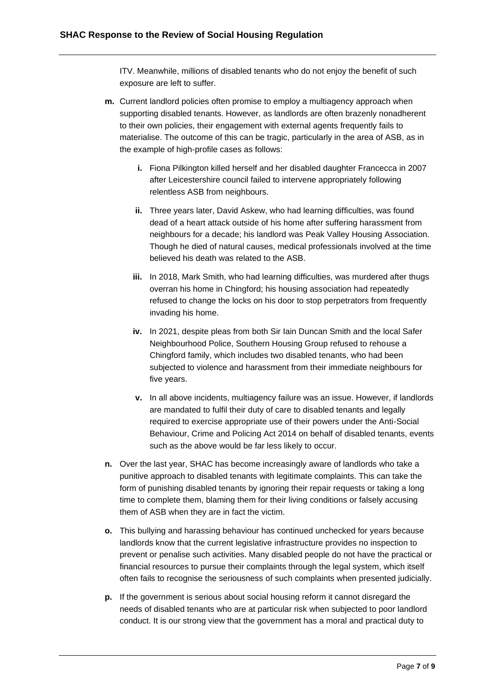ITV. Meanwhile, millions of disabled tenants who do not enjoy the benefit of such exposure are left to suffer.

- **m.** Current landlord policies often promise to employ a multiagency approach when supporting disabled tenants. However, as landlords are often brazenly nonadherent to their own policies, their engagement with external agents frequently fails to materialise. The outcome of this can be tragic, particularly in the area of ASB, as in the example of high-profile cases as follows:
	- **i.** Fiona Pilkington killed herself and her disabled daughter Francecca in 2007 after Leicestershire council failed to intervene appropriately following relentless ASB from neighbours.
	- **ii.** Three years later, David Askew, who had learning difficulties, was found dead of a heart attack outside of his home after suffering harassment from neighbours for a decade; his landlord was Peak Valley Housing Association. Though he died of natural causes, medical professionals involved at the time believed his death was related to the ASB.
	- **iii.** In 2018, Mark Smith, who had learning difficulties, was murdered after thugs overran his home in Chingford; his housing association had repeatedly refused to change the locks on his door to stop perpetrators from frequently invading his home.
	- **iv.** In 2021, despite pleas from both Sir Iain Duncan Smith and the local Safer Neighbourhood Police, Southern Housing Group refused to rehouse a Chingford family, which includes two disabled tenants, who had been subjected to violence and harassment from their immediate neighbours for five years.
	- **v.** In all above incidents, multiagency failure was an issue. However, if landlords are mandated to fulfil their duty of care to disabled tenants and legally required to exercise appropriate use of their powers under the Anti-Social Behaviour, Crime and Policing Act 2014 on behalf of disabled tenants, events such as the above would be far less likely to occur.
- **n.** Over the last year, SHAC has become increasingly aware of landlords who take a punitive approach to disabled tenants with legitimate complaints. This can take the form of punishing disabled tenants by ignoring their repair requests or taking a long time to complete them, blaming them for their living conditions or falsely accusing them of ASB when they are in fact the victim.
- **o.** This bullying and harassing behaviour has continued unchecked for years because landlords know that the current legislative infrastructure provides no inspection to prevent or penalise such activities. Many disabled people do not have the practical or financial resources to pursue their complaints through the legal system, which itself often fails to recognise the seriousness of such complaints when presented judicially.
- **p.** If the government is serious about social housing reform it cannot disregard the needs of disabled tenants who are at particular risk when subjected to poor landlord conduct. It is our strong view that the government has a moral and practical duty to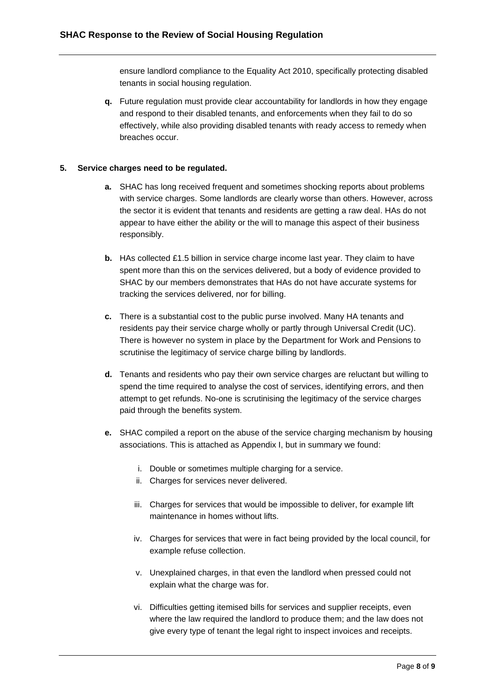ensure landlord compliance to the Equality Act 2010, specifically protecting disabled tenants in social housing regulation.

**q.** Future regulation must provide clear accountability for landlords in how they engage and respond to their disabled tenants, and enforcements when they fail to do so effectively, while also providing disabled tenants with ready access to remedy when breaches occur.

#### **5. Service charges need to be regulated.**

- **a.** SHAC has long received frequent and sometimes shocking reports about problems with service charges. Some landlords are clearly worse than others. However, across the sector it is evident that tenants and residents are getting a raw deal. HAs do not appear to have either the ability or the will to manage this aspect of their business responsibly.
- **b.** HAs collected £1.5 billion in service charge income last year. They claim to have spent more than this on the services delivered, but a body of evidence provided to SHAC by our members demonstrates that HAs do not have accurate systems for tracking the services delivered, nor for billing.
- **c.** There is a substantial cost to the public purse involved. Many HA tenants and residents pay their service charge wholly or partly through Universal Credit (UC). There is however no system in place by the Department for Work and Pensions to scrutinise the legitimacy of service charge billing by landlords.
- **d.** Tenants and residents who pay their own service charges are reluctant but willing to spend the time required to analyse the cost of services, identifying errors, and then attempt to get refunds. No-one is scrutinising the legitimacy of the service charges paid through the benefits system.
- **e.** SHAC compiled a report on the abuse of the service charging mechanism by housing associations. This is attached as Appendix I, but in summary we found:
	- i. Double or sometimes multiple charging for a service.
	- ii. Charges for services never delivered.
	- iii. Charges for services that would be impossible to deliver, for example lift maintenance in homes without lifts.
	- iv. Charges for services that were in fact being provided by the local council, for example refuse collection.
	- v. Unexplained charges, in that even the landlord when pressed could not explain what the charge was for.
	- vi. Difficulties getting itemised bills for services and supplier receipts, even where the law required the landlord to produce them; and the law does not give every type of tenant the legal right to inspect invoices and receipts.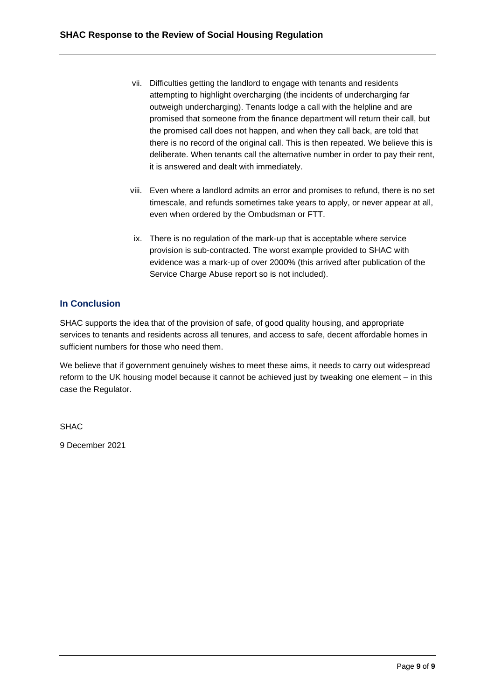- vii. Difficulties getting the landlord to engage with tenants and residents attempting to highlight overcharging (the incidents of undercharging far outweigh undercharging). Tenants lodge a call with the helpline and are promised that someone from the finance department will return their call, but the promised call does not happen, and when they call back, are told that there is no record of the original call. This is then repeated. We believe this is deliberate. When tenants call the alternative number in order to pay their rent, it is answered and dealt with immediately.
- viii. Even where a landlord admits an error and promises to refund, there is no set timescale, and refunds sometimes take years to apply, or never appear at all, even when ordered by the Ombudsman or FTT.
- ix. There is no regulation of the mark-up that is acceptable where service provision is sub-contracted. The worst example provided to SHAC with evidence was a mark-up of over 2000% (this arrived after publication of the Service Charge Abuse report so is not included).

#### **In Conclusion**

SHAC supports the idea that of the provision of safe, of good quality housing, and appropriate services to tenants and residents across all tenures, and access to safe, decent affordable homes in sufficient numbers for those who need them.

We believe that if government genuinely wishes to meet these aims, it needs to carry out widespread reform to the UK housing model because it cannot be achieved just by tweaking one element – in this case the Regulator.

SHAC

9 December 2021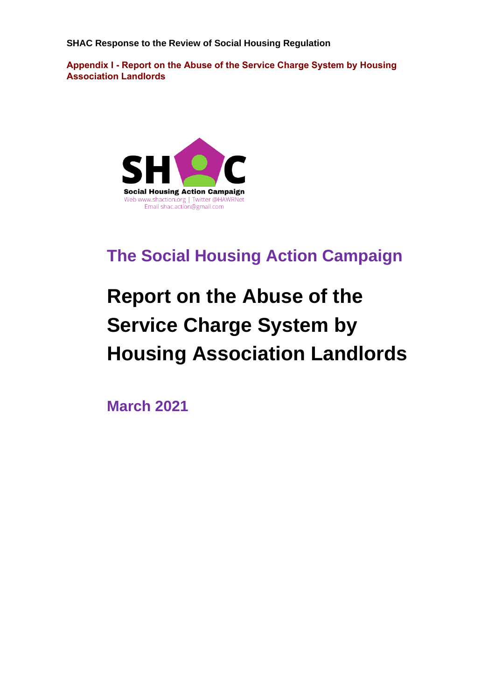**SHAC Response to the Review of Social Housing Regulation**

**Appendix I - Report on the Abuse of the Service Charge System by Housing Association Landlords**



# **The Social Housing Action Campaign**

# **Report on the Abuse of the Service Charge System by Housing Association Landlords**

**March 2021**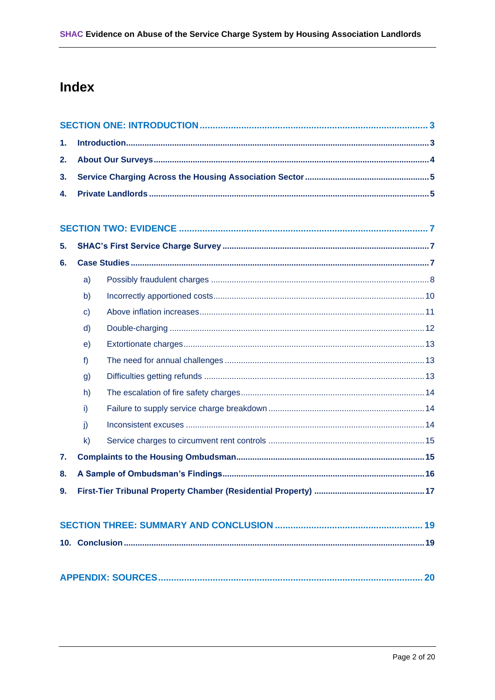# Index

| 1. |              |  |  |  |  |  |
|----|--------------|--|--|--|--|--|
| 2. |              |  |  |  |  |  |
| 3. |              |  |  |  |  |  |
| 4. |              |  |  |  |  |  |
|    |              |  |  |  |  |  |
|    |              |  |  |  |  |  |
| 5. |              |  |  |  |  |  |
| 6. |              |  |  |  |  |  |
|    | a)           |  |  |  |  |  |
|    | b)           |  |  |  |  |  |
|    | $\mathbf{C}$ |  |  |  |  |  |
|    | d)           |  |  |  |  |  |
|    | e)           |  |  |  |  |  |
|    | f            |  |  |  |  |  |
|    | g)           |  |  |  |  |  |
|    | h)           |  |  |  |  |  |
|    | i)           |  |  |  |  |  |
|    | j)           |  |  |  |  |  |
|    | $\mathsf{k}$ |  |  |  |  |  |
| 7. |              |  |  |  |  |  |
| 8. |              |  |  |  |  |  |
|    |              |  |  |  |  |  |
|    |              |  |  |  |  |  |
|    |              |  |  |  |  |  |
|    |              |  |  |  |  |  |
|    |              |  |  |  |  |  |
|    |              |  |  |  |  |  |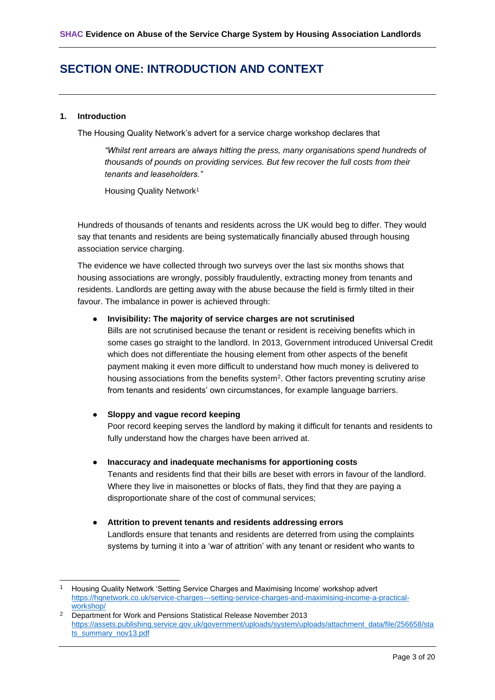## <span id="page-11-0"></span>**SECTION ONE: INTRODUCTION AND CONTEXT**

#### <span id="page-11-1"></span>**1. Introduction**

The Housing Quality Network's advert for a service charge workshop declares that

*"Whilst rent arrears are always hitting the press, many organisations spend hundreds of thousands of pounds on providing services. But few recover the full costs from their tenants and leaseholders."*

Housing Quality Network<sup>1</sup>

Hundreds of thousands of tenants and residents across the UK would beg to differ. They would say that tenants and residents are being systematically financially abused through housing association service charging.

The evidence we have collected through two surveys over the last six months shows that housing associations are wrongly, possibly fraudulently, extracting money from tenants and residents. Landlords are getting away with the abuse because the field is firmly tilted in their favour. The imbalance in power is achieved through:

#### ● **Invisibility: The majority of service charges are not scrutinised**

Bills are not scrutinised because the tenant or resident is receiving benefits which in some cases go straight to the landlord. In 2013, Government introduced Universal Credit which does not differentiate the housing element from other aspects of the benefit payment making it even more difficult to understand how much money is delivered to housing associations from the benefits system<sup>2</sup>. Other factors preventing scrutiny arise from tenants and residents' own circumstances, for example language barriers.

#### ● **Sloppy and vague record keeping**

Poor record keeping serves the landlord by making it difficult for tenants and residents to fully understand how the charges have been arrived at.

#### ● **Inaccuracy and inadequate mechanisms for apportioning costs**

Tenants and residents find that their bills are beset with errors in favour of the landlord. Where they live in maisonettes or blocks of flats, they find that they are paying a disproportionate share of the cost of communal services;

● **Attrition to prevent tenants and residents addressing errors** Landlords ensure that tenants and residents are deterred from using the complaints systems by turning it into a 'war of attrition' with any tenant or resident who wants to

<sup>&</sup>lt;sup>1</sup> Housing Quality Network 'Setting Service Charges and Maximising Income' workshop advert [https://hqnetwork.co.uk/service-charges---setting-service-charges-and-maximising-income-a-practical](https://hqnetwork.co.uk/service-charges---setting-service-charges-and-maximising-income-a-practical-workshop/)[workshop/](https://hqnetwork.co.uk/service-charges---setting-service-charges-and-maximising-income-a-practical-workshop/)

<sup>&</sup>lt;sup>2</sup> Department for Work and Pensions Statistical Release November 2013 [https://assets.publishing.service.gov.uk/government/uploads/system/uploads/attachment\\_data/file/256658/sta](https://assets.publishing.service.gov.uk/government/uploads/system/uploads/attachment_data/file/256658/stats_summary_nov13.pdf) [ts\\_summary\\_nov13.pdf](https://assets.publishing.service.gov.uk/government/uploads/system/uploads/attachment_data/file/256658/stats_summary_nov13.pdf)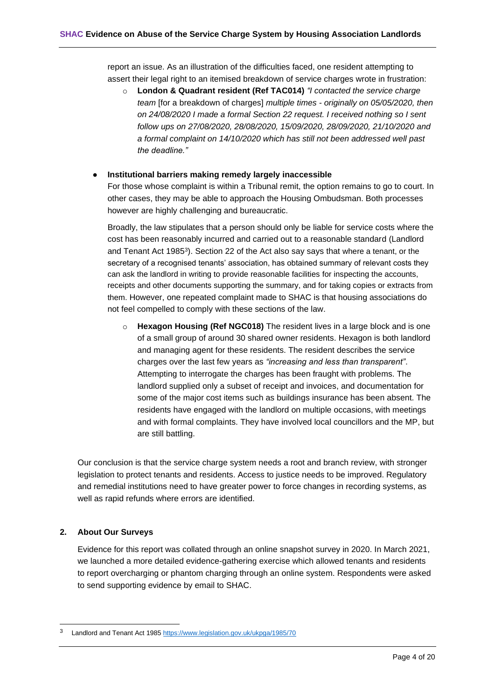report an issue. As an illustration of the difficulties faced, one resident attempting to assert their legal right to an itemised breakdown of service charges wrote in frustration:

o **London & Quadrant resident (Ref TAC014)** *"I contacted the service charge team* [for a breakdown of charges] *multiple times - originally on 05/05/2020, then on 24/08/2020 I made a formal Section 22 request. I received nothing so I sent follow ups on 27/08/2020, 28/08/2020, 15/09/2020, 28/09/2020, 21/10/2020 and a formal complaint on 14/10/2020 which has still not been addressed well past the deadline."*

#### **Institutional barriers making remedy largely inaccessible**

For those whose complaint is within a Tribunal remit, the option remains to go to court. In other cases, they may be able to approach the Housing Ombudsman. Both processes however are highly challenging and bureaucratic.

Broadly, the law stipulates that a person should only be liable for service costs where the cost has been reasonably incurred and carried out to a reasonable standard (Landlord and Tenant Act 1985<sup>3</sup>). Section 22 of the Act also say says that where a tenant, or the secretary of a recognised tenants' association, has obtained summary of relevant costs they can ask the landlord in writing to provide reasonable facilities for inspecting the accounts, receipts and other documents supporting the summary, and for taking copies or extracts from them. However, one repeated complaint made to SHAC is that housing associations do not feel compelled to comply with these sections of the law.

o **Hexagon Housing (Ref NGC018)** The resident lives in a large block and is one of a small group of around 30 shared owner residents. Hexagon is both landlord and managing agent for these residents. The resident describes the service charges over the last few years as *"increasing and less than transparent"*. Attempting to interrogate the charges has been fraught with problems. The landlord supplied only a subset of receipt and invoices, and documentation for some of the major cost items such as buildings insurance has been absent. The residents have engaged with the landlord on multiple occasions, with meetings and with formal complaints. They have involved local councillors and the MP, but are still battling.

Our conclusion is that the service charge system needs a root and branch review, with stronger legislation to protect tenants and residents. Access to justice needs to be improved. Regulatory and remedial institutions need to have greater power to force changes in recording systems, as well as rapid refunds where errors are identified.

#### <span id="page-12-0"></span>**2. About Our Surveys**

Evidence for this report was collated through an online snapshot survey in 2020. In March 2021, we launched a more detailed evidence-gathering exercise which allowed tenants and residents to report overcharging or phantom charging through an online system. Respondents were asked to send supporting evidence by email to SHAC.

<sup>3</sup> Landlord and Tenant Act 1985<https://www.legislation.gov.uk/ukpga/1985/70>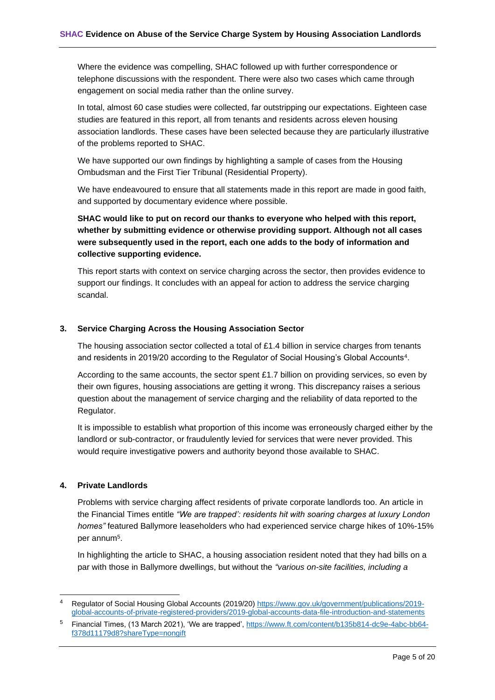Where the evidence was compelling, SHAC followed up with further correspondence or telephone discussions with the respondent. There were also two cases which came through engagement on social media rather than the online survey.

In total, almost 60 case studies were collected, far outstripping our expectations. Eighteen case studies are featured in this report, all from tenants and residents across eleven housing association landlords. These cases have been selected because they are particularly illustrative of the problems reported to SHAC.

We have supported our own findings by highlighting a sample of cases from the Housing Ombudsman and the First Tier Tribunal (Residential Property).

We have endeavoured to ensure that all statements made in this report are made in good faith, and supported by documentary evidence where possible.

**SHAC would like to put on record our thanks to everyone who helped with this report, whether by submitting evidence or otherwise providing support. Although not all cases were subsequently used in the report, each one adds to the body of information and collective supporting evidence.**

This report starts with context on service charging across the sector, then provides evidence to support our findings. It concludes with an appeal for action to address the service charging scandal.

#### <span id="page-13-0"></span>**3. Service Charging Across the Housing Association Sector**

The housing association sector collected a total of £1.4 billion in service charges from tenants and residents in 2019/20 according to the Regulator of Social Housing's Global Accounts<sup>4</sup>.

According to the same accounts, the sector spent £1.7 billion on providing services, so even by their own figures, housing associations are getting it wrong. This discrepancy raises a serious question about the management of service charging and the reliability of data reported to the Regulator.

It is impossible to establish what proportion of this income was erroneously charged either by the landlord or sub-contractor, or fraudulently levied for services that were never provided. This would require investigative powers and authority beyond those available to SHAC.

#### <span id="page-13-1"></span>**4. Private Landlords**

Problems with service charging affect residents of private corporate landlords too. An article in the Financial Times entitle *"We are trapped': residents hit with soaring charges at luxury London homes"* featured Ballymore leaseholders who had experienced service charge hikes of 10%-15% per annum<sup>5</sup>.

In highlighting the article to SHAC, a housing association resident noted that they had bills on a par with those in Ballymore dwellings, but without the *"various on-site facilities, including a* 

<sup>4</sup> Regulator of Social Housing Global Accounts (2019/20) [https://www.gov.uk/government/publications/2019](https://www.gov.uk/government/publications/2019-global-accounts-of-private-registered-providers/2019-global-accounts-data-file-introduction-and-statements) [global-accounts-of-private-registered-providers/2019-global-accounts-data-file-introduction-and-statements](https://www.gov.uk/government/publications/2019-global-accounts-of-private-registered-providers/2019-global-accounts-data-file-introduction-and-statements)

<sup>5</sup> Financial Times, (13 March 2021), 'We are trapped', [https://www.ft.com/content/b135b814-dc9e-4abc-bb64](https://www.ft.com/content/b135b814-dc9e-4abc-bb64-f378d11179d8?shareType=nongift) [f378d11179d8?shareType=nongift](https://www.ft.com/content/b135b814-dc9e-4abc-bb64-f378d11179d8?shareType=nongift)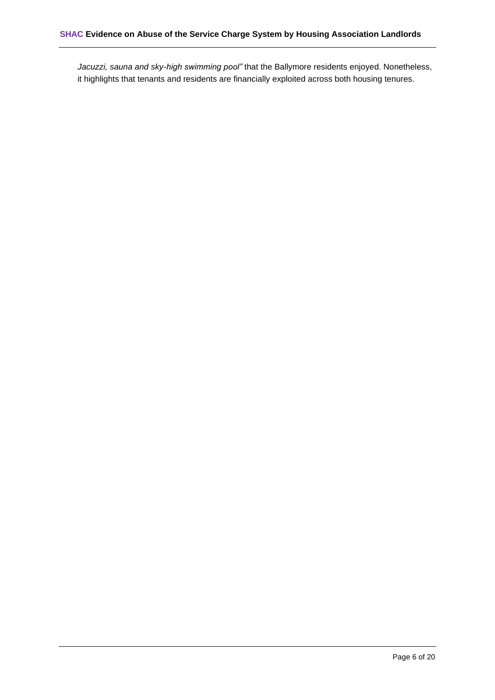*Jacuzzi, sauna and sky-high swimming pool"* that the Ballymore residents enjoyed. Nonetheless, it highlights that tenants and residents are financially exploited across both housing tenures.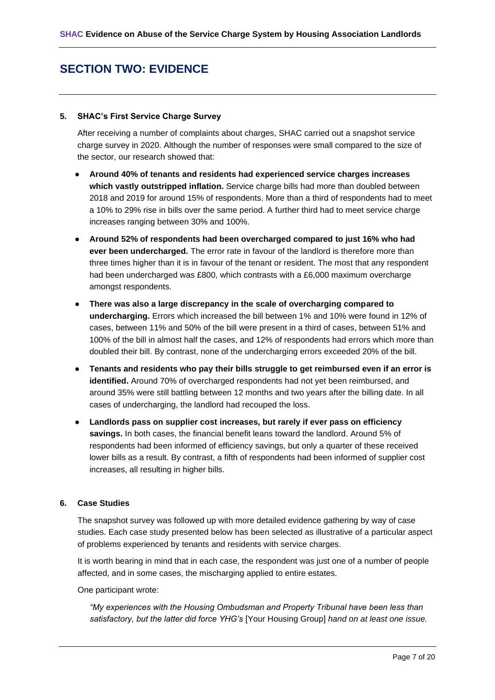# <span id="page-15-0"></span>**SECTION TWO: EVIDENCE**

#### <span id="page-15-1"></span>**5. SHAC's First Service Charge Survey**

After receiving a number of complaints about charges, SHAC carried out a snapshot service charge survey in 2020. Although the number of responses were small compared to the size of the sector, our research showed that:

- **Around 40% of tenants and residents had experienced service charges increases which vastly outstripped inflation.** Service charge bills had more than doubled between 2018 and 2019 for around 15% of respondents. More than a third of respondents had to meet a 10% to 29% rise in bills over the same period. A further third had to meet service charge increases ranging between 30% and 100%.
- **Around 52% of respondents had been overcharged compared to just 16% who had ever been undercharged.** The error rate in favour of the landlord is therefore more than three times higher than it is in favour of the tenant or resident. The most that any respondent had been undercharged was £800, which contrasts with a £6,000 maximum overcharge amongst respondents.
- **There was also a large discrepancy in the scale of overcharging compared to undercharging.** Errors which increased the bill between 1% and 10% were found in 12% of cases, between 11% and 50% of the bill were present in a third of cases, between 51% and 100% of the bill in almost half the cases, and 12% of respondents had errors which more than doubled their bill. By contrast, none of the undercharging errors exceeded 20% of the bill.
- **Tenants and residents who pay their bills struggle to get reimbursed even if an error is identified.** Around 70% of overcharged respondents had not yet been reimbursed, and around 35% were still battling between 12 months and two years after the billing date. In all cases of undercharging, the landlord had recouped the loss.
- **Landlords pass on supplier cost increases, but rarely if ever pass on efficiency savings.** In both cases, the financial benefit leans toward the landlord. Around 5% of respondents had been informed of efficiency savings, but only a quarter of these received lower bills as a result. By contrast, a fifth of respondents had been informed of supplier cost increases, all resulting in higher bills.

#### <span id="page-15-2"></span>**6. Case Studies**

The snapshot survey was followed up with more detailed evidence gathering by way of case studies. Each case study presented below has been selected as illustrative of a particular aspect of problems experienced by tenants and residents with service charges.

It is worth bearing in mind that in each case, the respondent was just one of a number of people affected, and in some cases, the mischarging applied to entire estates.

One participant wrote:

*"My experiences with the Housing Ombudsman and Property Tribunal have been less than satisfactory, but the latter did force YHG's* [Your Housing Group] *hand on at least one issue.*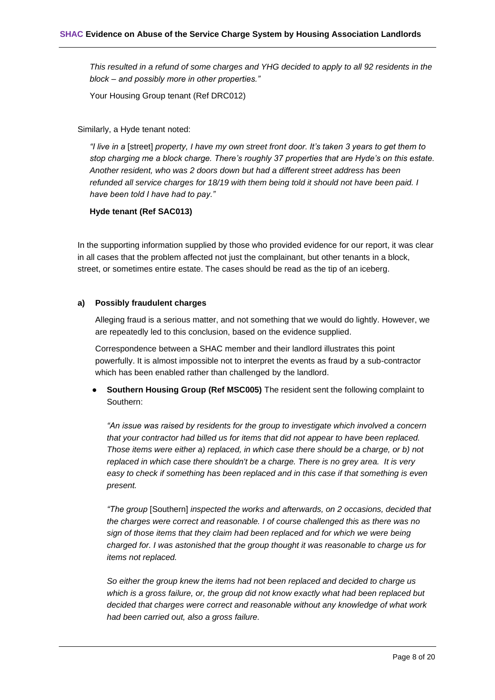*This resulted in a refund of some charges and YHG decided to apply to all 92 residents in the block – and possibly more in other properties."*

Your Housing Group tenant (Ref DRC012)

Similarly, a Hyde tenant noted:

*"I live in a* [street] *property, I have my own street front door. It's taken 3 years to get them to stop charging me a block charge. There's roughly 37 properties that are Hyde's on this estate. Another resident, who was 2 doors down but had a different street address has been refunded all service charges for 18/19 with them being told it should not have been paid. I have been told I have had to pay."*

#### **Hyde tenant (Ref SAC013)**

In the supporting information supplied by those who provided evidence for our report, it was clear in all cases that the problem affected not just the complainant, but other tenants in a block, street, or sometimes entire estate. The cases should be read as the tip of an iceberg.

#### <span id="page-16-0"></span>**a) Possibly fraudulent charges**

Alleging fraud is a serious matter, and not something that we would do lightly. However, we are repeatedly led to this conclusion, based on the evidence supplied.

Correspondence between a SHAC member and their landlord illustrates this point powerfully. It is almost impossible not to interpret the events as fraud by a sub-contractor which has been enabled rather than challenged by the landlord.

**Southern Housing Group (Ref MSC005)** The resident sent the following complaint to Southern:

*"An issue was raised by residents for the group to investigate which involved a concern that your contractor had billed us for items that did not appear to have been replaced. Those items were either a) replaced, in which case there should be a charge, or b) not replaced in which case there shouldn't be a charge. There is no grey area. It is very easy to check if something has been replaced and in this case if that something is even present.* 

*"The group* [Southern] *inspected the works and afterwards, on 2 occasions, decided that the charges were correct and reasonable. I of course challenged this as there was no sign of those items that they claim had been replaced and for which we were being charged for. I was astonished that the group thought it was reasonable to charge us for items not replaced.* 

*So either the group knew the items had not been replaced and decided to charge us which is a gross failure, or, the group did not know exactly what had been replaced but decided that charges were correct and reasonable without any knowledge of what work had been carried out, also a gross failure.*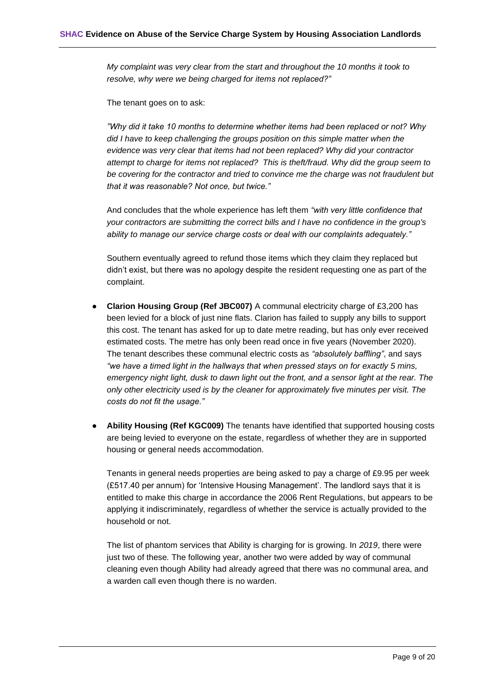*My complaint was very clear from the start and throughout the 10 months it took to resolve, why were we being charged for items not replaced?"* 

The tenant goes on to ask:

*"Why did it take 10 months to determine whether items had been replaced or not? Why did I have to keep challenging the groups position on this simple matter when the evidence was very clear that items had not been replaced? Why did your contractor attempt to charge for items not replaced? This is theft/fraud. Why did the group seem to be covering for the contractor and tried to convince me the charge was not fraudulent but that it was reasonable? Not once, but twice."*

And concludes that the whole experience has left them *"with very little confidence that your contractors are submitting the correct bills and I have no confidence in the group's ability to manage our service charge costs or deal with our complaints adequately."*

Southern eventually agreed to refund those items which they claim they replaced but didn't exist, but there was no apology despite the resident requesting one as part of the complaint.

- **Clarion Housing Group (Ref JBC007)** A communal electricity charge of £3,200 has been levied for a block of just nine flats. Clarion has failed to supply any bills to support this cost. The tenant has asked for up to date metre reading, but has only ever received estimated costs. The metre has only been read once in five years (November 2020). The tenant describes these communal electric costs as *"absolutely baffling"*, and says *"we have a timed light in the hallways that when pressed stays on for exactly 5 mins, emergency night light, dusk to dawn light out the front, and a sensor light at the rear. The only other electricity used is by the cleaner for approximately five minutes per visit. The costs do not fit the usage."*
- **Ability Housing (Ref KGC009)** The tenants have identified that supported housing costs are being levied to everyone on the estate, regardless of whether they are in supported housing or general needs accommodation.

Tenants in general needs properties are being asked to pay a charge of £9.95 per week (£517.40 per annum) for 'Intensive Housing Management'. The landlord says that it is entitled to make this charge in accordance the 2006 Rent Regulations, but appears to be applying it indiscriminately, regardless of whether the service is actually provided to the household or not.

The list of phantom services that Ability is charging for is growing. In *2019*, there were just two of these*.* The following year, another two were added by way of communal cleaning even though Ability had already agreed that there was no communal area, and a warden call even though there is no warden.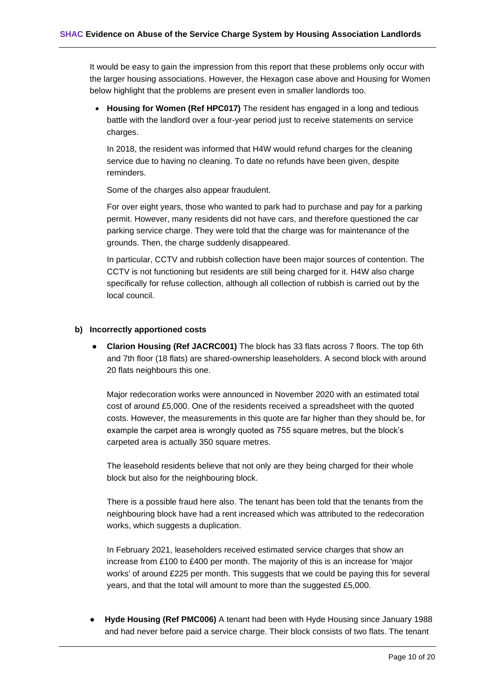It would be easy to gain the impression from this report that these problems only occur with the larger housing associations. However, the Hexagon case above and Housing for Women below highlight that the problems are present even in smaller landlords too.

• **Housing for Women (Ref HPC017)** The resident has engaged in a long and tedious battle with the landlord over a four-year period just to receive statements on service charges.

In 2018, the resident was informed that H4W would refund charges for the cleaning service due to having no cleaning. To date no refunds have been given, despite reminders.

Some of the charges also appear fraudulent.

For over eight years, those who wanted to park had to purchase and pay for a parking permit. However, many residents did not have cars, and therefore questioned the car parking service charge. They were told that the charge was for maintenance of the grounds. Then, the charge suddenly disappeared.

In particular, CCTV and rubbish collection have been major sources of contention. The CCTV is not functioning but residents are still being charged for it. H4W also charge specifically for refuse collection, although all collection of rubbish is carried out by the local council.

#### <span id="page-18-0"></span>**b) Incorrectly apportioned costs**

● **Clarion Housing (Ref JACRC001)** The block has 33 flats across 7 floors. The top 6th and 7th floor (18 flats) are shared-ownership leaseholders. A second block with around 20 flats neighbours this one.

Major redecoration works were announced in November 2020 with an estimated total cost of around £5,000. One of the residents received a spreadsheet with the quoted costs. However, the measurements in this quote are far higher than they should be, for example the carpet area is wrongly quoted as 755 square metres, but the block's carpeted area is actually 350 square metres.

The leasehold residents believe that not only are they being charged for their whole block but also for the neighbouring block.

There is a possible fraud here also. The tenant has been told that the tenants from the neighbouring block have had a rent increased which was attributed to the redecoration works, which suggests a duplication.

In February 2021, leaseholders received estimated service charges that show an increase from £100 to £400 per month. The majority of this is an increase for 'major works' of around £225 per month. This suggests that we could be paying this for several years, and that the total will amount to more than the suggested £5,000.

**Hyde Housing (Ref PMC006)** A tenant had been with Hyde Housing since January 1988 and had never before paid a service charge. Their block consists of two flats. The tenant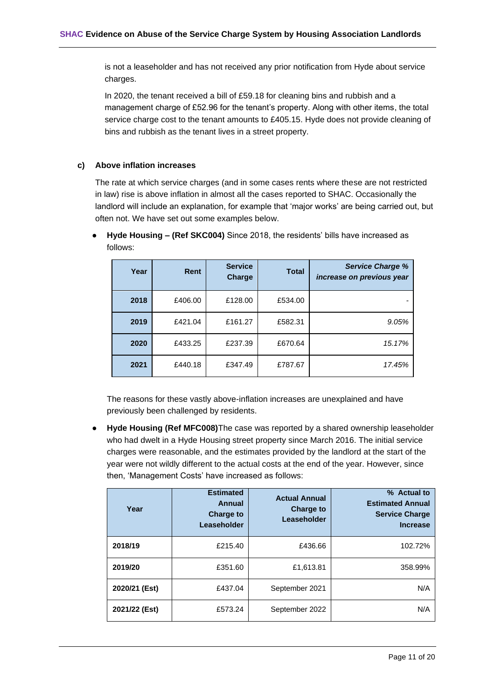is not a leaseholder and has not received any prior notification from Hyde about service charges.

In 2020, the tenant received a bill of £59.18 for cleaning bins and rubbish and a management charge of £52.96 for the tenant's property. Along with other items, the total service charge cost to the tenant amounts to £405.15. Hyde does not provide cleaning of bins and rubbish as the tenant lives in a street property.

#### <span id="page-19-0"></span>**c) Above inflation increases**

The rate at which service charges (and in some cases rents where these are not restricted in law) rise is above inflation in almost all the cases reported to SHAC. Occasionally the landlord will include an explanation, for example that 'major works' are being carried out, but often not. We have set out some examples below.

| Year | Rent    | <b>Service</b><br>Charge | <b>Total</b> | <b>Service Charge %</b><br>increase on previous year |
|------|---------|--------------------------|--------------|------------------------------------------------------|
| 2018 | £406.00 | £128.00                  | £534.00      |                                                      |
| 2019 | £421.04 | £161.27                  | £582.31      | 9.05%                                                |
| 2020 | £433.25 | £237.39                  | £670.64      | 15.17%                                               |
| 2021 | £440.18 | £347.49                  | £787.67      | 17.45%                                               |

● **Hyde Housing – (Ref SKC004)** Since 2018, the residents' bills have increased as follows:

The reasons for these vastly above-inflation increases are unexplained and have previously been challenged by residents.

● **Hyde Housing (Ref MFC008)**The case was reported by a shared ownership leaseholder who had dwelt in a Hyde Housing street property since March 2016. The initial service charges were reasonable, and the estimates provided by the landlord at the start of the year were not wildly different to the actual costs at the end of the year. However, since then, 'Management Costs' have increased as follows:

| Year          | <b>Estimated</b><br>Annual<br><b>Charge to</b><br>Leaseholder | <b>Actual Annual</b><br><b>Charge to</b><br>Leaseholder | % Actual to<br><b>Estimated Annual</b><br><b>Service Charge</b><br><b>Increase</b> |
|---------------|---------------------------------------------------------------|---------------------------------------------------------|------------------------------------------------------------------------------------|
| 2018/19       | £215.40                                                       | £436.66                                                 | 102.72%                                                                            |
| 2019/20       | £351.60                                                       | £1,613.81                                               | 358.99%                                                                            |
| 2020/21 (Est) | £437.04                                                       | September 2021                                          | N/A                                                                                |
| 2021/22 (Est) | £573.24                                                       | September 2022                                          | N/A                                                                                |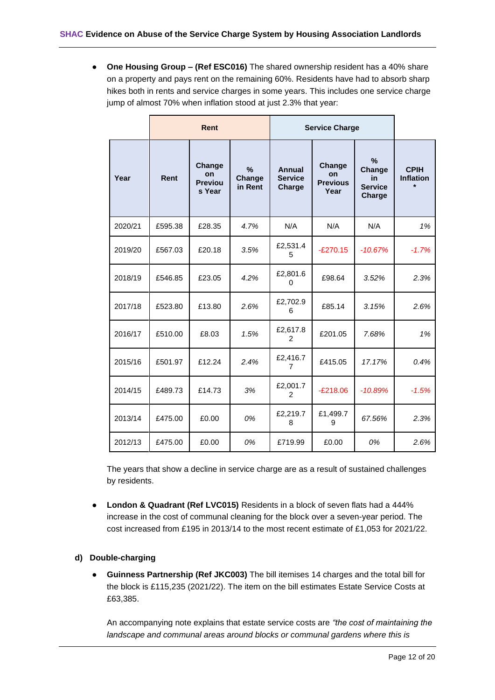● **One Housing Group – (Ref ESC016)** The shared ownership resident has a 40% share on a property and pays rent on the remaining 60%. Residents have had to absorb sharp hikes both in rents and service charges in some years. This includes one service charge jump of almost 70% when inflation stood at just 2.3% that year:

|         | <b>Rent</b> |                                          |                                    | <b>Service Charge</b>              |                                                |                                               |                                 |
|---------|-------------|------------------------------------------|------------------------------------|------------------------------------|------------------------------------------------|-----------------------------------------------|---------------------------------|
| Year    | Rent        | Change<br>on<br><b>Previou</b><br>s Year | $\frac{9}{6}$<br>Change<br>in Rent | Annual<br><b>Service</b><br>Charge | Change<br><b>on</b><br><b>Previous</b><br>Year | %<br>Change<br>in<br><b>Service</b><br>Charge | <b>CPIH</b><br><b>Inflation</b> |
| 2020/21 | £595.38     | £28.35                                   | 4.7%                               | N/A                                | N/A                                            | N/A                                           | 1%                              |
| 2019/20 | £567.03     | £20.18                                   | 3.5%                               | £2,531.4<br>5.                     | $-E270.15$                                     | $-10.67%$                                     | $-1.7%$                         |
| 2018/19 | £546.85     | £23.05                                   | 4.2%                               | £2,801.6<br>0                      | £98.64                                         | 3.52%                                         | 2.3%                            |
| 2017/18 | £523.80     | £13.80                                   | 2.6%                               | £2,702.9<br>6                      | £85.14                                         | 3.15%                                         | 2.6%                            |
| 2016/17 | £510.00     | £8.03                                    | 1.5%                               | £2,617.8<br>2                      | £201.05                                        | 7.68%                                         | 1%                              |
| 2015/16 | £501.97     | £12.24                                   | 2.4%                               | £2,416.7<br>$\overline{7}$         | £415.05                                        | 17.17%                                        | 0.4%                            |
| 2014/15 | £489.73     | £14.73                                   | 3%                                 | £2,001.7<br>$\overline{2}$         | $-E218.06$                                     | $-10.89%$                                     | $-1.5%$                         |
| 2013/14 | £475.00     | £0.00                                    | 0%                                 | £2,219.7<br>8                      | £1,499.7<br>9                                  | 67.56%                                        | 2.3%                            |
| 2012/13 | £475.00     | £0.00                                    | 0%                                 | £719.99                            | £0.00                                          | 0%                                            | 2.6%                            |

The years that show a decline in service charge are as a result of sustained challenges by residents.

● **London & Quadrant (Ref LVC015)** Residents in a block of seven flats had a 444% increase in the cost of communal cleaning for the block over a seven-year period. The cost increased from £195 in 2013/14 to the most recent estimate of £1,053 for 2021/22.

#### <span id="page-20-0"></span>**d) Double-charging**

● **Guinness Partnership (Ref JKC003)** The bill itemises 14 charges and the total bill for the block is £115,235 (2021/22). The item on the bill estimates Estate Service Costs at £63,385.

An accompanying note explains that estate service costs are *"the cost of maintaining the*  landscape and communal areas around blocks or communal gardens where this is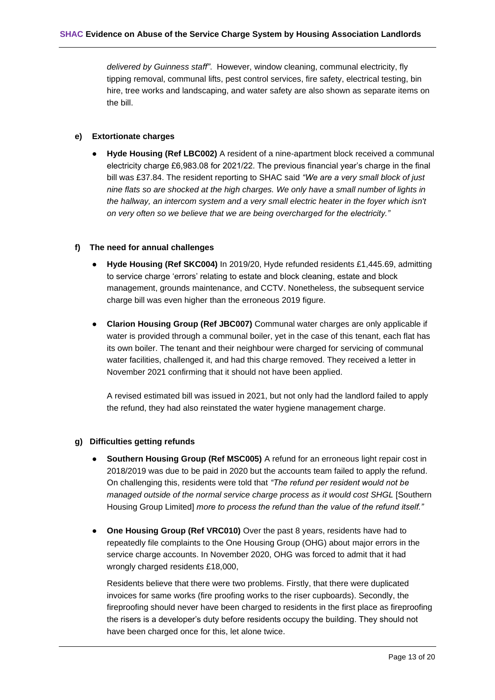*delivered by Guinness staff"*. However, window cleaning, communal electricity, fly tipping removal, communal lifts, pest control services, fire safety, electrical testing, bin hire, tree works and landscaping, and water safety are also shown as separate items on the bill.

#### <span id="page-21-0"></span>**e) Extortionate charges**

**Hyde Housing (Ref LBC002)** A resident of a nine-apartment block received a communal electricity charge £6,983.08 for 2021/22. The previous financial year's charge in the final bill was £37.84. The resident reporting to SHAC said *"We are a very small block of just nine flats so are shocked at the high charges. We only have a small number of lights in*  the hallway, an intercom system and a very small electric heater in the foyer which isn't *on very often so we believe that we are being overcharged for the electricity."*

#### <span id="page-21-1"></span>**f) The need for annual challenges**

- **Hyde Housing (Ref SKC004)** In 2019/20, Hyde refunded residents £1,445.69, admitting to service charge 'errors' relating to estate and block cleaning, estate and block management, grounds maintenance, and CCTV. Nonetheless, the subsequent service charge bill was even higher than the erroneous 2019 figure.
- **Clarion Housing Group (Ref JBC007)** Communal water charges are only applicable if water is provided through a communal boiler, yet in the case of this tenant, each flat has its own boiler. The tenant and their neighbour were charged for servicing of communal water facilities, challenged it, and had this charge removed. They received a letter in November 2021 confirming that it should not have been applied.

A revised estimated bill was issued in 2021, but not only had the landlord failed to apply the refund, they had also reinstated the water hygiene management charge.

#### <span id="page-21-2"></span>**g) Difficulties getting refunds**

- **Southern Housing Group (Ref MSC005)** A refund for an erroneous light repair cost in 2018/2019 was due to be paid in 2020 but the accounts team failed to apply the refund. On challenging this, residents were told that *"The refund per resident would not be managed outside of the normal service charge process as it would cost SHGL* [Southern Housing Group Limited] *more to process the refund than the value of the refund itself."*
- **One Housing Group (Ref VRC010)** Over the past 8 years, residents have had to repeatedly file complaints to the One Housing Group (OHG) about major errors in the service charge accounts. In November 2020, OHG was forced to admit that it had wrongly charged residents £18,000,

Residents believe that there were two problems. Firstly, that there were duplicated invoices for same works (fire proofing works to the riser cupboards). Secondly, the fireproofing should never have been charged to residents in the first place as fireproofing the risers is a developer's duty before residents occupy the building. They should not have been charged once for this, let alone twice.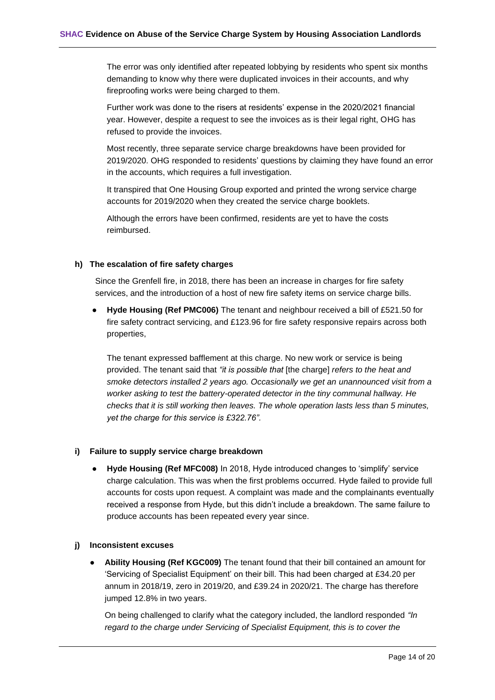The error was only identified after repeated lobbying by residents who spent six months demanding to know why there were duplicated invoices in their accounts, and why fireproofing works were being charged to them.

Further work was done to the risers at residents' expense in the 2020/2021 financial year. However, despite a request to see the invoices as is their legal right, OHG has refused to provide the invoices.

Most recently, three separate service charge breakdowns have been provided for 2019/2020. OHG responded to residents' questions by claiming they have found an error in the accounts, which requires a full investigation.

It transpired that One Housing Group exported and printed the wrong service charge accounts for 2019/2020 when they created the service charge booklets.

Although the errors have been confirmed, residents are yet to have the costs reimbursed.

#### <span id="page-22-0"></span>**h) The escalation of fire safety charges**

Since the Grenfell fire, in 2018, there has been an increase in charges for fire safety services, and the introduction of a host of new fire safety items on service charge bills.

**Hyde Housing (Ref PMC006)** The tenant and neighbour received a bill of £521.50 for fire safety contract servicing, and £123.96 for fire safety responsive repairs across both properties,

The tenant expressed bafflement at this charge. No new work or service is being provided. The tenant said that *"it is possible that* [the charge] *refers to the heat and smoke detectors installed 2 years ago. Occasionally we get an unannounced visit from a worker asking to test the battery-operated detector in the tiny communal hallway. He checks that it is still working then leaves. The whole operation lasts less than 5 minutes, yet the charge for this service is £322.76".*

#### <span id="page-22-1"></span>**i) Failure to supply service charge breakdown**

**Hyde Housing (Ref MFC008)** In 2018, Hyde introduced changes to 'simplify' service charge calculation. This was when the first problems occurred. Hyde failed to provide full accounts for costs upon request. A complaint was made and the complainants eventually received a response from Hyde, but this didn't include a breakdown. The same failure to produce accounts has been repeated every year since.

#### <span id="page-22-2"></span>**j) Inconsistent excuses**

● **Ability Housing (Ref KGC009)** The tenant found that their bill contained an amount for 'Servicing of Specialist Equipment' on their bill. This had been charged at £34.20 per annum in 2018/19, zero in 2019/20, and £39.24 in 2020/21. The charge has therefore jumped 12.8% in two years.

On being challenged to clarify what the category included, the landlord responded *"In regard to the charge under Servicing of Specialist Equipment, this is to cover the*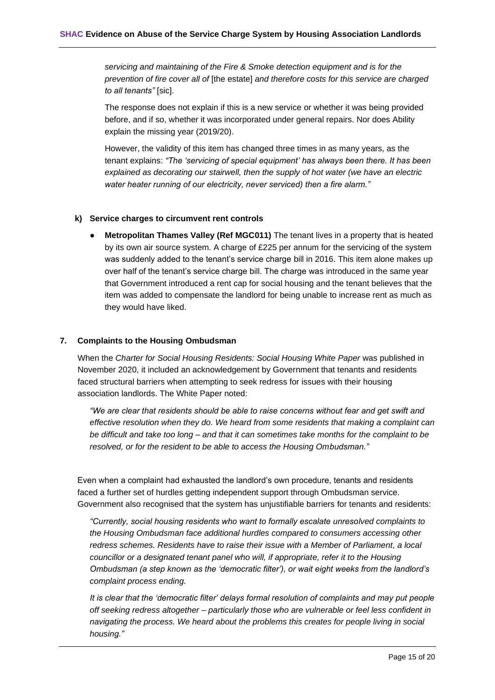*servicing and maintaining of the Fire & Smoke detection equipment and is for the prevention of fire cover all of* [the estate] *and therefore costs for this service are charged to all tenants"* [sic].

The response does not explain if this is a new service or whether it was being provided before, and if so, whether it was incorporated under general repairs. Nor does Ability explain the missing year (2019/20).

However, the validity of this item has changed three times in as many years, as the tenant explains: *"The 'servicing of special equipment' has always been there. It has been explained as decorating our stairwell, then the supply of hot water (we have an electric water heater running of our electricity, never serviced) then a fire alarm."*

#### <span id="page-23-0"></span>**k) Service charges to circumvent rent controls**

**Metropolitan Thames Valley (Ref MGC011)** The tenant lives in a property that is heated by its own air source system. A charge of £225 per annum for the servicing of the system was suddenly added to the tenant's service charge bill in 2016. This item alone makes up over half of the tenant's service charge bill. The charge was introduced in the same year that Government introduced a rent cap for social housing and the tenant believes that the item was added to compensate the landlord for being unable to increase rent as much as they would have liked.

#### <span id="page-23-1"></span>**7. Complaints to the Housing Ombudsman**

When the *Charter for Social Housing Residents: Social Housing White Paper* was published in November 2020, it included an acknowledgement by Government that tenants and residents faced structural barriers when attempting to seek redress for issues with their housing association landlords. The White Paper noted:

*"We are clear that residents should be able to raise concerns without fear and get swift and effective resolution when they do. We heard from some residents that making a complaint can be difficult and take too long – and that it can sometimes take months for the complaint to be resolved, or for the resident to be able to access the Housing Ombudsman."*

Even when a complaint had exhausted the landlord's own procedure, tenants and residents faced a further set of hurdles getting independent support through Ombudsman service. Government also recognised that the system has unjustifiable barriers for tenants and residents:

*"Currently, social housing residents who want to formally escalate unresolved complaints to the Housing Ombudsman face additional hurdles compared to consumers accessing other redress schemes. Residents have to raise their issue with a Member of Parliament, a local councillor or a designated tenant panel who will, if appropriate, refer it to the Housing Ombudsman (a step known as the 'democratic filter'), or wait eight weeks from the landlord's complaint process ending.*

*It is clear that the 'democratic filter' delays formal resolution of complaints and may put people off seeking redress altogether – particularly those who are vulnerable or feel less confident in navigating the process. We heard about the problems this creates for people living in social housing."*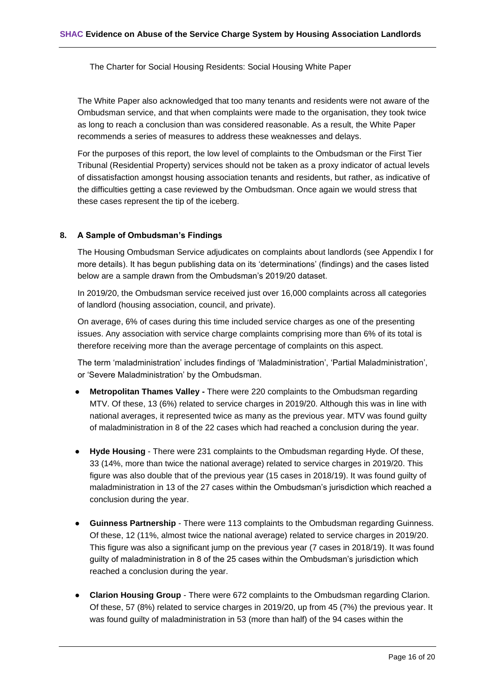The Charter for Social Housing Residents: Social Housing White Paper

The White Paper also acknowledged that too many tenants and residents were not aware of the Ombudsman service, and that when complaints were made to the organisation, they took twice as long to reach a conclusion than was considered reasonable. As a result, the White Paper recommends a series of measures to address these weaknesses and delays.

For the purposes of this report, the low level of complaints to the Ombudsman or the First Tier Tribunal (Residential Property) services should not be taken as a proxy indicator of actual levels of dissatisfaction amongst housing association tenants and residents, but rather, as indicative of the difficulties getting a case reviewed by the Ombudsman. Once again we would stress that these cases represent the tip of the iceberg.

#### <span id="page-24-0"></span>**8. A Sample of Ombudsman's Findings**

The Housing Ombudsman Service adjudicates on complaints about landlords (see Appendix I for more details). It has begun publishing data on its 'determinations' (findings) and the cases listed below are a sample drawn from the Ombudsman's 2019/20 dataset.

In 2019/20, the Ombudsman service received just over 16,000 complaints across all categories of landlord (housing association, council, and private).

On average, 6% of cases during this time included service charges as one of the presenting issues. Any association with service charge complaints comprising more than 6% of its total is therefore receiving more than the average percentage of complaints on this aspect.

The term 'maladministration' includes findings of 'Maladministration', 'Partial Maladministration', or 'Severe Maladministration' by the Ombudsman.

- **Metropolitan Thames Valley -** There were 220 complaints to the Ombudsman regarding MTV. Of these, 13 (6%) related to service charges in 2019/20. Although this was in line with national averages, it represented twice as many as the previous year. MTV was found guilty of maladministration in 8 of the 22 cases which had reached a conclusion during the year.
- **Hyde Housing** There were 231 complaints to the Ombudsman regarding Hyde. Of these, 33 (14%, more than twice the national average) related to service charges in 2019/20. This figure was also double that of the previous year (15 cases in 2018/19). It was found guilty of maladministration in 13 of the 27 cases within the Ombudsman's jurisdiction which reached a conclusion during the year.
- **Guinness Partnership** There were 113 complaints to the Ombudsman regarding Guinness. Of these, 12 (11%, almost twice the national average) related to service charges in 2019/20. This figure was also a significant jump on the previous year (7 cases in 2018/19). It was found guilty of maladministration in 8 of the 25 cases within the Ombudsman's jurisdiction which reached a conclusion during the year.
- **Clarion Housing Group** There were 672 complaints to the Ombudsman regarding Clarion. Of these, 57 (8%) related to service charges in 2019/20, up from 45 (7%) the previous year. It was found guilty of maladministration in 53 (more than half) of the 94 cases within the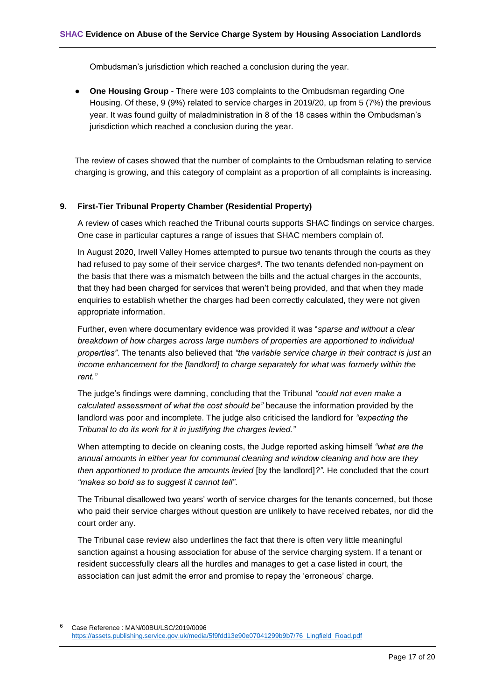Ombudsman's jurisdiction which reached a conclusion during the year.

**One Housing Group** - There were 103 complaints to the Ombudsman regarding One Housing. Of these, 9 (9%) related to service charges in 2019/20, up from 5 (7%) the previous year. It was found guilty of maladministration in 8 of the 18 cases within the Ombudsman's jurisdiction which reached a conclusion during the year.

The review of cases showed that the number of complaints to the Ombudsman relating to service charging is growing, and this category of complaint as a proportion of all complaints is increasing.

#### <span id="page-25-0"></span>**9. First-Tier Tribunal Property Chamber (Residential Property)**

A review of cases which reached the Tribunal courts supports SHAC findings on service charges. One case in particular captures a range of issues that SHAC members complain of.

In August 2020, Irwell Valley Homes attempted to pursue two tenants through the courts as they had refused to pay some of their service charges<sup>6</sup>. The two tenants defended non-payment on the basis that there was a mismatch between the bills and the actual charges in the accounts, that they had been charged for services that weren't being provided, and that when they made enquiries to establish whether the charges had been correctly calculated, they were not given appropriate information.

Further, even where documentary evidence was provided it was "*sparse and without a clear breakdown of how charges across large numbers of properties are apportioned to individual properties"*. The tenants also believed that *"the variable service charge in their contract is just an income enhancement for the [landlord] to charge separately for what was formerly within the rent."*

The judge's findings were damning, concluding that the Tribunal *"could not even make a calculated assessment of what the cost should be"* because the information provided by the landlord was poor and incomplete. The judge also criticised the landlord for *"expecting the Tribunal to do its work for it in justifying the charges levied."*

When attempting to decide on cleaning costs, the Judge reported asking himself *"what are the annual amounts in either year for communal cleaning and window cleaning and how are they then apportioned to produce the amounts levied [by the landlord]?". He concluded that the court "makes so bold as to suggest it cannot tell"*.

The Tribunal disallowed two years' worth of service charges for the tenants concerned, but those who paid their service charges without question are unlikely to have received rebates, nor did the court order any.

The Tribunal case review also underlines the fact that there is often very little meaningful sanction against a housing association for abuse of the service charging system. If a tenant or resident successfully clears all the hurdles and manages to get a case listed in court, the association can just admit the error and promise to repay the 'erroneous' charge.

<sup>6</sup> Case Reference : MAN/00BU/LSC/2019/0096 [https://assets.publishing.service.gov.uk/media/5f9fdd13e90e07041299b9b7/76\\_Lingfield\\_Road.pdf](https://assets.publishing.service.gov.uk/media/5f9fdd13e90e07041299b9b7/76_Lingfield_Road.pdf)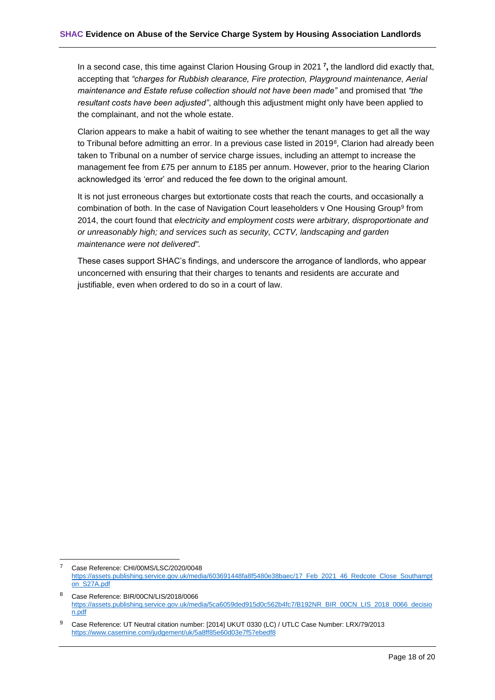In a second case, this time against Clarion Housing Group in 2021 **<sup>7</sup> ,** the landlord did exactly that, accepting that *"charges for Rubbish clearance, Fire protection, Playground maintenance, Aerial maintenance and Estate refuse collection should not have been made"* and promised that *"the resultant costs have been adjusted"*, although this adjustment might only have been applied to the complainant, and not the whole estate.

Clarion appears to make a habit of waiting to see whether the tenant manages to get all the way to Tribunal before admitting an error. In a previous case listed in 2019<sup>8</sup>, Clarion had already been taken to Tribunal on a number of service charge issues, including an attempt to increase the management fee from £75 per annum to £185 per annum. However, prior to the hearing Clarion acknowledged its 'error' and reduced the fee down to the original amount.

It is not just erroneous charges but extortionate costs that reach the courts, and occasionally a combination of both. In the case of Navigation Court leaseholders v One Housing Group<sup>9</sup> from 2014, the court found that *electricity and employment costs were arbitrary, disproportionate and or unreasonably high; and services such as security, CCTV, landscaping and garden maintenance were not delivered".*

These cases support SHAC's findings, and underscore the arrogance of landlords, who appear unconcerned with ensuring that their charges to tenants and residents are accurate and justifiable, even when ordered to do so in a court of law.

<sup>7</sup> Case Reference: CHI/00MS/LSC/2020/0048 [https://assets.publishing.service.gov.uk/media/603691448fa8f5480e38baec/17\\_Feb\\_2021\\_46\\_Redcote\\_Close\\_Southampt](https://assets.publishing.service.gov.uk/media/603691448fa8f5480e38baec/17_Feb_2021_46_Redcote_Close_Southampton_S27A.pdf) [on\\_S27A.pdf](https://assets.publishing.service.gov.uk/media/603691448fa8f5480e38baec/17_Feb_2021_46_Redcote_Close_Southampton_S27A.pdf)

<sup>8</sup> Case Reference: BIR/00CN/LIS/2018/0066 [https://assets.publishing.service.gov.uk/media/5ca6059ded915d0c562b4fc7/B192NR\\_BIR\\_00CN\\_LIS\\_2018\\_0066\\_decisio](https://assets.publishing.service.gov.uk/media/5ca6059ded915d0c562b4fc7/B192NR_BIR_00CN_LIS_2018_0066_decision.pdf) [n.pdf](https://assets.publishing.service.gov.uk/media/5ca6059ded915d0c562b4fc7/B192NR_BIR_00CN_LIS_2018_0066_decision.pdf)

<sup>9</sup> Case Reference: UT Neutral citation number: [2014] UKUT 0330 (LC) / UTLC Case Number: LRX/79/2013 <https://www.casemine.com/judgement/uk/5a8ff85e60d03e7f57ebedf8>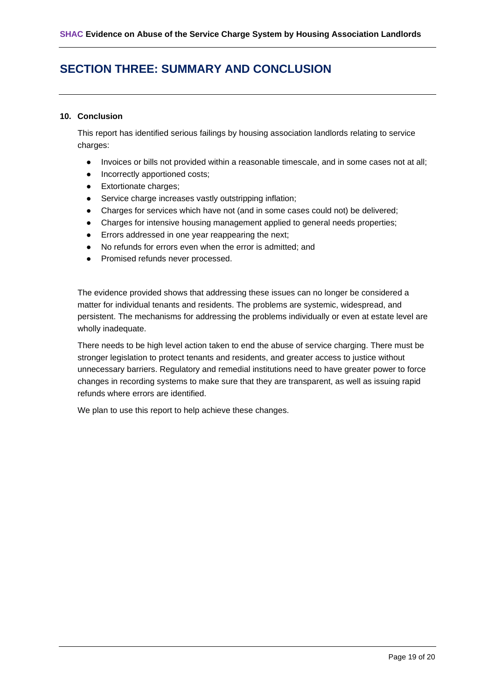## <span id="page-27-0"></span>**SECTION THREE: SUMMARY AND CONCLUSION**

#### <span id="page-27-1"></span>**10. Conclusion**

This report has identified serious failings by housing association landlords relating to service charges:

- Invoices or bills not provided within a reasonable timescale, and in some cases not at all;
- Incorrectly apportioned costs;
- Extortionate charges;
- Service charge increases vastly outstripping inflation;
- Charges for services which have not (and in some cases could not) be delivered;
- Charges for intensive housing management applied to general needs properties;
- Errors addressed in one year reappearing the next;
- No refunds for errors even when the error is admitted; and
- Promised refunds never processed.

The evidence provided shows that addressing these issues can no longer be considered a matter for individual tenants and residents. The problems are systemic, widespread, and persistent. The mechanisms for addressing the problems individually or even at estate level are wholly inadequate.

There needs to be high level action taken to end the abuse of service charging. There must be stronger legislation to protect tenants and residents, and greater access to justice without unnecessary barriers. Regulatory and remedial institutions need to have greater power to force changes in recording systems to make sure that they are transparent, as well as issuing rapid refunds where errors are identified.

We plan to use this report to help achieve these changes.